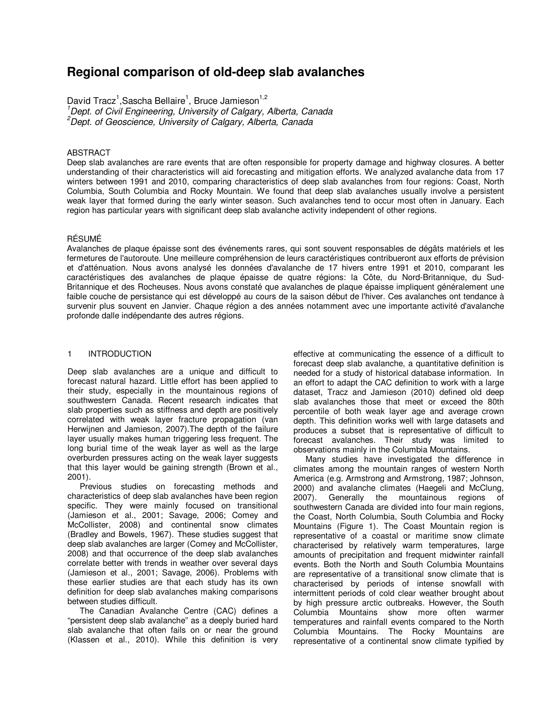# **Regional comparison of old-deep slab avalanches**

David Tracz<sup>1</sup>, Sascha Bellaire<sup>1</sup>, Bruce Jamieson<sup>1,2</sup>

 $1$ Dept. of Civil Engineering, University of Calgary, Alberta, Canada

 ${}^{2}$ Dept. of Geoscience, University of Calgary, Alberta, Canada

## ABSTRACT

Deep slab avalanches are rare events that are often responsible for property damage and highway closures. A better understanding of their characteristics will aid forecasting and mitigation efforts. We analyzed avalanche data from 17 winters between 1991 and 2010, comparing characteristics of deep slab avalanches from four regions: Coast, North Columbia, South Columbia and Rocky Mountain. We found that deep slab avalanches usually involve a persistent weak layer that formed during the early winter season. Such avalanches tend to occur most often in January. Each region has particular years with significant deep slab avalanche activity independent of other regions.

#### RÉSUMÉ

Avalanches de plaque épaisse sont des événements rares, qui sont souvent responsables de dégâts matériels et les fermetures de l'autoroute. Une meilleure compréhension de leurs caractéristiques contribueront aux efforts de prévision et d'atténuation. Nous avons analysé les données d'avalanche de 17 hivers entre 1991 et 2010, comparant les caractéristiques des avalanches de plaque épaisse de quatre régions: la Côte, du Nord-Britannique, du Sud-Britannique et des Rocheuses. Nous avons constaté que avalanches de plaque épaisse impliquent généralement une faible couche de persistance qui est développé au cours de la saison début de l'hiver. Ces avalanches ont tendance à survenir plus souvent en Janvier. Chaque région a des années notamment avec une importante activité d'avalanche profonde dalle indépendante des autres régions.

#### 1 INTRODUCTION

Deep slab avalanches are a unique and difficult to forecast natural hazard. Little effort has been applied to their study, especially in the mountainous regions of southwestern Canada. Recent research indicates that slab properties such as stiffness and depth are positively correlated with weak layer fracture propagation (van Herwijnen and Jamieson, 2007).The depth of the failure layer usually makes human triggering less frequent. The long burial time of the weak layer as well as the large overburden pressures acting on the weak layer suggests that this layer would be gaining strength (Brown et al., 2001).

Previous studies on forecasting methods and characteristics of deep slab avalanches have been region specific. They were mainly focused on transitional (Jamieson et al., 2001; Savage, 2006; Comey and McCollister, 2008) and continental snow climates (Bradley and Bowels, 1967). These studies suggest that deep slab avalanches are larger (Comey and McCollister, 2008) and that occurrence of the deep slab avalanches correlate better with trends in weather over several days (Jamieson et al., 2001; Savage, 2006). Problems with these earlier studies are that each study has its own definition for deep slab avalanches making comparisons between studies difficult.

The Canadian Avalanche Centre (CAC) defines a "persistent deep slab avalanche" as a deeply buried hard slab avalanche that often fails on or near the ground (Klassen et al., 2010). While this definition is very effective at communicating the essence of a difficult to forecast deep slab avalanche, a quantitative definition is needed for a study of historical database information. In an effort to adapt the CAC definition to work with a large dataset, Tracz and Jamieson (2010) defined old deep slab avalanches those that meet or exceed the 80th percentile of both weak layer age and average crown depth. This definition works well with large datasets and produces a subset that is representative of difficult to forecast avalanches. Their study was limited to observations mainly in the Columbia Mountains.

Many studies have investigated the difference in climates among the mountain ranges of western North America (e.g. Armstrong and Armstrong, 1987; Johnson, 2000) and avalanche climates (Haegeli and McClung, 2007). Generally the mountainous regions of southwestern Canada are divided into four main regions, the Coast, North Columbia, South Columbia and Rocky Mountains (Figure 1). The Coast Mountain region is representative of a coastal or maritime snow climate characterised by relatively warm temperatures, large amounts of precipitation and frequent midwinter rainfall events. Both the North and South Columbia Mountains are representative of a transitional snow climate that is characterised by periods of intense snowfall with intermittent periods of cold clear weather brought about by high pressure arctic outbreaks. However, the South Columbia Mountains show more often warmer temperatures and rainfall events compared to the North Columbia Mountains. The Rocky Mountains are representative of a continental snow climate typified by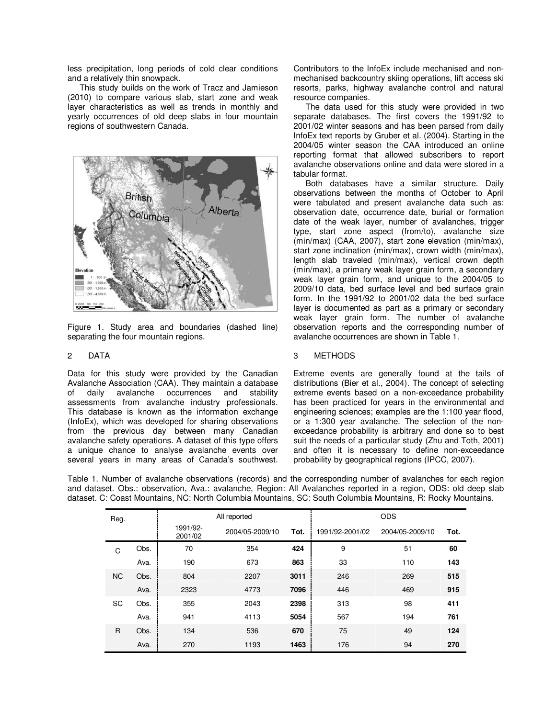less precipitation, long periods of cold clear conditions and a relatively thin snowpack.

This study builds on the work of Tracz and Jamieson (2010) to compare various slab, start zone and weak layer characteristics as well as trends in monthly and yearly occurrences of old deep slabs in four mountain regions of southwestern Canada.



Figure 1. Study area and boundaries (dashed line) separating the four mountain regions.

## 2 DATA

Data for this study were provided by the Canadian Avalanche Association (CAA). They maintain a database<br>of daily avalanche occurrences and stability of daily avalanche occurrences and stability assessments from avalanche industry professionals. This database is known as the information exchange (InfoEx), which was developed for sharing observations from the previous day between many Canadian avalanche safety operations. A dataset of this type offers a unique chance to analyse avalanche events over several years in many areas of Canada's southwest.

Contributors to the InfoEx include mechanised and nonmechanised backcountry skiing operations, lift access ski resorts, parks, highway avalanche control and natural resource companies.

The data used for this study were provided in two separate databases. The first covers the 1991/92 to 2001/02 winter seasons and has been parsed from daily InfoEx text reports by Gruber et al. (2004). Starting in the 2004/05 winter season the CAA introduced an online reporting format that allowed subscribers to report avalanche observations online and data were stored in a tabular format.

Both databases have a similar structure. Daily observations between the months of October to April were tabulated and present avalanche data such as: observation date, occurrence date, burial or formation date of the weak layer, number of avalanches, trigger type, start zone aspect (from/to), avalanche size (min/max) (CAA, 2007), start zone elevation (min/max), start zone inclination (min/max), crown width (min/max), length slab traveled (min/max), vertical crown depth (min/max), a primary weak layer grain form, a secondary weak layer grain form, and unique to the 2004/05 to 2009/10 data, bed surface level and bed surface grain form. In the 1991/92 to 2001/02 data the bed surface layer is documented as part as a primary or secondary weak layer grain form. The number of avalanche observation reports and the corresponding number of avalanche occurrences are shown in Table 1.

# 3 METHODS

Extreme events are generally found at the tails of distributions (Bier et al., 2004). The concept of selecting extreme events based on a non-exceedance probability has been practiced for years in the environmental and engineering sciences; examples are the 1:100 year flood, or a 1:300 year avalanche. The selection of the nonexceedance probability is arbitrary and done so to best suit the needs of a particular study (Zhu and Toth, 2001) and often it is necessary to define non-exceedance probability by geographical regions (IPCC, 2007).

Table 1. Number of avalanche observations (records) and the corresponding number of avalanches for each region and dataset. Obs.: observation, Ava.: avalanche, Region: All Avalanches reported in a region, ODS: old deep slab dataset. C: Coast Mountains, NC: North Columbia Mountains, SC: South Columbia Mountains, R: Rocky Mountains.

| Reg.      |      |                     | All reported    | <b>ODS</b> |                 |                 |      |  |  |
|-----------|------|---------------------|-----------------|------------|-----------------|-----------------|------|--|--|
|           |      | 1991/92-<br>2001/02 | 2004/05-2009/10 | Tot.       | 1991/92-2001/02 | 2004/05-2009/10 | Tot. |  |  |
| C         | Obs. | 70                  | 354             | 424        | 9               | 51              | 60   |  |  |
|           | Ava. | 190                 | 673             | 863        | 33              | 110             | 143  |  |  |
| <b>NC</b> | Obs. | 804                 | 2207            | 3011       | 246             | 269             | 515  |  |  |
|           | Ava. | 2323                | 4773            | 7096       | 446             | 469             | 915  |  |  |
| SC        | Obs. | 355                 | 2043            | 2398       | 313             | 98              | 411  |  |  |
|           | Ava. | 941                 | 4113            | 5054       | 567             | 194             | 761  |  |  |
| R         | Obs. | 134                 | 536             | 670        | 75              | 49              | 124  |  |  |
|           | Ava. | 270                 | 1193            | 1463       | 176             | 94              | 270  |  |  |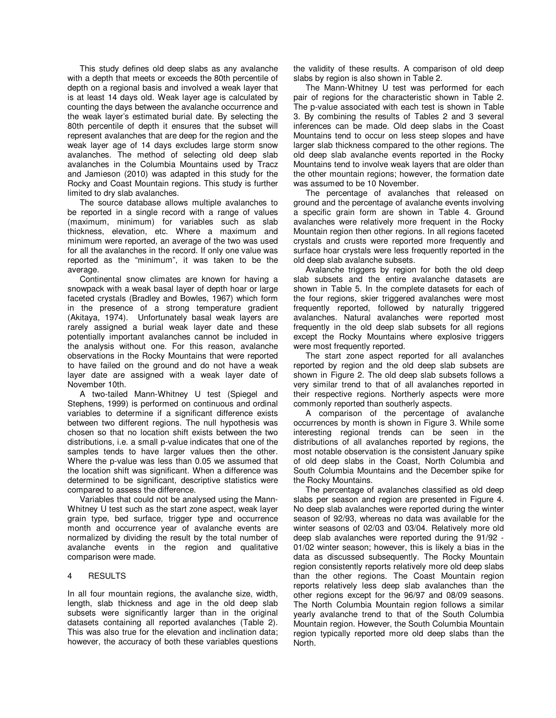This study defines old deep slabs as any avalanche with a depth that meets or exceeds the 80th percentile of depth on a regional basis and involved a weak layer that is at least 14 days old. Weak layer age is calculated by counting the days between the avalanche occurrence and the weak layer's estimated burial date. By selecting the 80th percentile of depth it ensures that the subset will represent avalanches that are deep for the region and the weak layer age of 14 days excludes large storm snow avalanches. The method of selecting old deep slab avalanches in the Columbia Mountains used by Tracz and Jamieson (2010) was adapted in this study for the Rocky and Coast Mountain regions. This study is further limited to dry slab avalanches.

The source database allows multiple avalanches to be reported in a single record with a range of values (maximum, minimum) for variables such as slab thickness, elevation, etc. Where a maximum and minimum were reported, an average of the two was used for all the avalanches in the record. If only one value was reported as the "minimum", it was taken to be the average.

Continental snow climates are known for having a snowpack with a weak basal layer of depth hoar or large faceted crystals (Bradley and Bowles, 1967) which form in the presence of a strong temperature gradient (Akitaya, 1974). Unfortunately basal weak layers are rarely assigned a burial weak layer date and these potentially important avalanches cannot be included in the analysis without one. For this reason, avalanche observations in the Rocky Mountains that were reported to have failed on the ground and do not have a weak layer date are assigned with a weak layer date of November 10th.

A two-tailed Mann-Whitney U test (Spiegel and Stephens, 1999) is performed on continuous and ordinal variables to determine if a significant difference exists between two different regions. The null hypothesis was chosen so that no location shift exists between the two distributions, i.e. a small p-value indicates that one of the samples tends to have larger values then the other. Where the p-value was less than 0.05 we assumed that the location shift was significant. When a difference was determined to be significant, descriptive statistics were compared to assess the difference.

Variables that could not be analysed using the Mann-Whitney U test such as the start zone aspect, weak layer grain type, bed surface, trigger type and occurrence month and occurrence year of avalanche events are normalized by dividing the result by the total number of avalanche events in the region and qualitative comparison were made.

#### 4 RESULTS

In all four mountain regions, the avalanche size, width, length, slab thickness and age in the old deep slab subsets were significantly larger than in the original datasets containing all reported avalanches (Table 2). This was also true for the elevation and inclination data; however, the accuracy of both these variables questions the validity of these results. A comparison of old deep slabs by region is also shown in Table 2.

The Mann-Whitney U test was performed for each pair of regions for the characteristic shown in Table 2. The p-value associated with each test is shown in Table 3. By combining the results of Tables 2 and 3 several inferences can be made. Old deep slabs in the Coast Mountains tend to occur on less steep slopes and have larger slab thickness compared to the other regions. The old deep slab avalanche events reported in the Rocky Mountains tend to involve weak layers that are older than the other mountain regions; however, the formation date was assumed to be 10 November.

The percentage of avalanches that released on ground and the percentage of avalanche events involving a specific grain form are shown in Table 4. Ground avalanches were relatively more frequent in the Rocky Mountain region then other regions. In all regions faceted crystals and crusts were reported more frequently and surface hoar crystals were less frequently reported in the old deep slab avalanche subsets.

Avalanche triggers by region for both the old deep slab subsets and the entire avalanche datasets are shown in Table 5. In the complete datasets for each of the four regions, skier triggered avalanches were most frequently reported, followed by naturally triggered avalanches. Natural avalanches were reported most frequently in the old deep slab subsets for all regions except the Rocky Mountains where explosive triggers were most frequently reported.

The start zone aspect reported for all avalanches reported by region and the old deep slab subsets are shown in Figure 2. The old deep slab subsets follows a very similar trend to that of all avalanches reported in their respective regions. Northerly aspects were more commonly reported than southerly aspects.

A comparison of the percentage of avalanche occurrences by month is shown in Figure 3. While some interesting regional trends can be seen in the distributions of all avalanches reported by regions, the most notable observation is the consistent January spike of old deep slabs in the Coast, North Columbia and South Columbia Mountains and the December spike for the Rocky Mountains.

The percentage of avalanches classified as old deep slabs per season and region are presented in Figure 4. No deep slab avalanches were reported during the winter season of 92/93, whereas no data was available for the winter seasons of 02/03 and 03/04. Relatively more old deep slab avalanches were reported during the 91/92 - 01/02 winter season; however, this is likely a bias in the data as discussed subsequently. The Rocky Mountain region consistently reports relatively more old deep slabs than the other regions. The Coast Mountain region reports relatively less deep slab avalanches than the other regions except for the 96/97 and 08/09 seasons. The North Columbia Mountain region follows a similar yearly avalanche trend to that of the South Columbia Mountain region. However, the South Columbia Mountain region typically reported more old deep slabs than the North.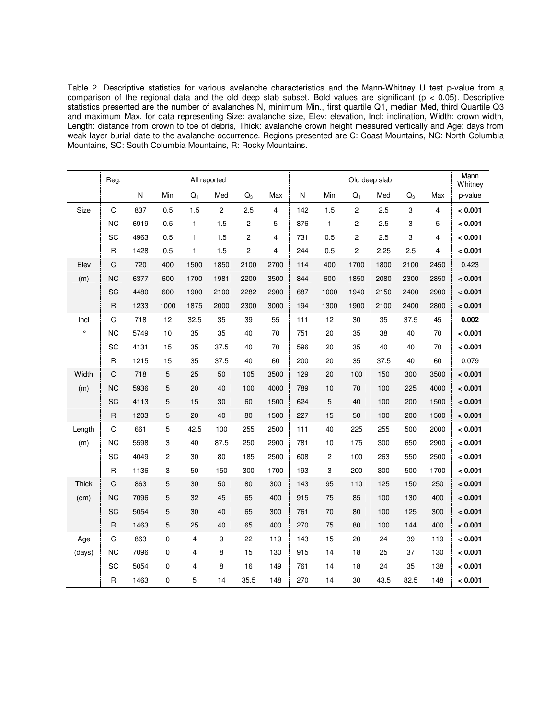Table 2. Descriptive statistics for various avalanche characteristics and the Mann-Whitney U test p-value from a comparison of the regional data and the old deep slab subset. Bold values are significant ( $p < 0.05$ ). Descriptive statistics presented are the number of avalanches N, minimum Min., first quartile Q1, median Med, third Quartile Q3 and maximum Max. for data representing Size: avalanche size, Elev: elevation, Incl: inclination, Width: crown width, Length: distance from crown to toe of debris, Thick: avalanche crown height measured vertically and Age: days from weak layer burial date to the avalanche occurrence. Regions presented are C: Coast Mountains, NC: North Columbia Mountains, SC: South Columbia Mountains, R: Rocky Mountains.

|              | Reg.         | All reported |      |              |                |       |                | Old deep slab |                  |                |      |       |                | Mann<br>Whitney |
|--------------|--------------|--------------|------|--------------|----------------|-------|----------------|---------------|------------------|----------------|------|-------|----------------|-----------------|
|              |              | ${\sf N}$    | Min  | $Q_1$        | Med            | $Q_3$ | Max            | ${\sf N}$     | Min              | $Q_1$          | Med  | $Q_3$ | Max            | p-value         |
| Size         | C            | 837          | 0.5  | 1.5          | $\overline{2}$ | 2.5   | $\overline{4}$ | 142           | 1.5              | $\overline{c}$ | 2.5  | 3     | $\overline{4}$ | < 0.001         |
|              | <b>NC</b>    | 6919         | 0.5  | $\mathbf{1}$ | 1.5            | 2     | 5              | 876           | $\mathbf{1}$     | $\overline{2}$ | 2.5  | 3     | 5              | < 0.001         |
|              | SC           | 4963         | 0.5  | $\mathbf{1}$ | 1.5            | 2     | $\overline{4}$ | 731           | 0.5              | $\overline{c}$ | 2.5  | 3     | 4              | < 0.001         |
|              | $\mathsf{R}$ | 1428         | 0.5  | 1            | 1.5            | 2     | 4              | 244           | 0.5              | $\overline{c}$ | 2.25 | 2.5   | 4              | < 0.001         |
| Elev         | C            | 720          | 400  | 1500         | 1850           | 2100  | 2700           | 114           | 400              | 1700           | 1800 | 2100  | 2450           | 0.423           |
| (m)          | <b>NC</b>    | 6377         | 600  | 1700         | 1981           | 2200  | 3500           | 844           | 600              | 1850           | 2080 | 2300  | 2850           | < 0.001         |
|              | SC           | 4480         | 600  | 1900         | 2100           | 2282  | 2900           | 687           | 1000             | 1940           | 2150 | 2400  | 2900           | < 0.001         |
|              | $\mathsf{R}$ | 1233         | 1000 | 1875         | 2000           | 2300  | 3000           | 194           | 1300             | 1900           | 2100 | 2400  | 2800           | < 0.001         |
| Incl         | $\mathsf C$  | 718          | 12   | 32.5         | 35             | 39    | 55             | 111           | 12               | 30             | 35   | 37.5  | 45             | 0.002           |
| $\circ$      | <b>NC</b>    | 5749         | 10   | 35           | 35             | 40    | 70             | 751           | 20               | 35             | 38   | 40    | 70             | < 0.001         |
|              | SC           | 4131         | 15   | 35           | 37.5           | 40    | 70             | 596           | 20               | 35             | 40   | 40    | 70             | < 0.001         |
|              | $\mathsf{R}$ | 1215         | 15   | 35           | 37.5           | 40    | 60             | 200           | 20               | 35             | 37.5 | 40    | 60             | 0.079           |
| Width        | $\mathsf C$  | 718          | 5    | 25           | 50             | 105   | 3500           | 129           | 20               | 100            | 150  | 300   | 3500           | < 0.001         |
| (m)          | <b>NC</b>    | 5936         | 5    | 20           | 40             | 100   | 4000           | 789           | 10               | 70             | 100  | 225   | 4000           | < 0.001         |
|              | SC           | 4113         | 5    | 15           | 30             | 60    | 1500           | 624           | $\mathbf 5$      | 40             | 100  | 200   | 1500           | < 0.001         |
|              | $\mathsf R$  | 1203         | 5    | 20           | 40             | 80    | 1500           | 227           | 15               | 50             | 100  | 200   | 1500           | < 0.001         |
| Length       | $\mathsf C$  | 661          | 5    | 42.5         | 100            | 255   | 2500           | 111           | 40               | 225            | 255  | 500   | 2000           | < 0.001         |
| (m)          | <b>NC</b>    | 5598         | 3    | 40           | 87.5           | 250   | 2900           | 781           | 10               | 175            | 300  | 650   | 2900           | < 0.001         |
|              | SC           | 4049         | 2    | 30           | 80             | 185   | 2500           | 608           | $\boldsymbol{2}$ | 100            | 263  | 550   | 2500           | < 0.001         |
|              | $\mathsf R$  | 1136         | 3    | 50           | 150            | 300   | 1700           | 193           | 3                | 200            | 300  | 500   | 1700           | < 0.001         |
| <b>Thick</b> | C            | 863          | 5    | 30           | 50             | 80    | 300            | 143           | 95               | 110            | 125  | 150   | 250            | < 0.001         |
| (cm)         | <b>NC</b>    | 7096         | 5    | 32           | 45             | 65    | 400            | 915           | 75               | 85             | 100  | 130   | 400            | < 0.001         |
|              | SC           | 5054         | 5    | 30           | 40             | 65    | 300            | 761           | 70               | 80             | 100  | 125   | 300            | < 0.001         |
|              | $\mathsf{R}$ | 1463         | 5    | 25           | 40             | 65    | 400            | 270           | 75               | 80             | 100  | 144   | 400            | < 0.001         |
| Age          | C            | 863          | 0    | 4            | 9              | 22    | 119            | 143           | 15               | 20             | 24   | 39    | 119            | < 0.001         |
| (days)       | <b>NC</b>    | 7096         | 0    | 4            | 8              | 15    | 130            | 915           | 14               | 18             | 25   | 37    | 130            | < 0.001         |
|              | SC           | 5054         | 0    | 4            | 8              | 16    | 149            | 761           | 14               | 18             | 24   | 35    | 138            | < 0.001         |
|              | $\sf R$      | 1463         | 0    | 5            | 14             | 35.5  | 148            | 270           | 14               | 30             | 43.5 | 82.5  | 148            | < 0.001         |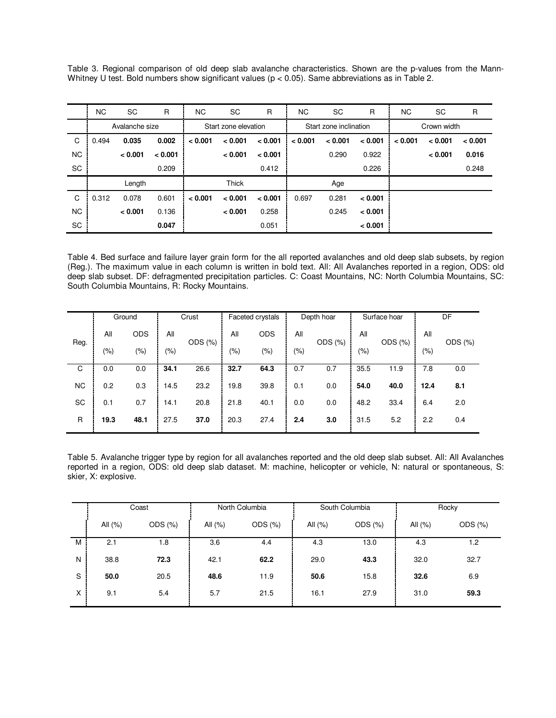Table 3. Regional comparison of old deep slab avalanche characteristics. Shown are the p-values from the Mann-Whitney U test. Bold numbers show significant values ( $p < 0.05$ ). Same abbreviations as in Table 2.

|           | NC.            | <b>SC</b> | $\mathsf{R}$ | NC.                  | <b>SC</b> | $\mathsf{R}$ | ΝC      | <b>SC</b>              | $\mathsf{R}$ | NC.         | <b>SC</b> | $\mathsf{R}$ |
|-----------|----------------|-----------|--------------|----------------------|-----------|--------------|---------|------------------------|--------------|-------------|-----------|--------------|
|           | Avalanche size |           |              | Start zone elevation |           |              |         | Start zone inclination |              | Crown width |           |              |
| C         | 0.494          | 0.035     | 0.002        | < 0.001              | < 0.001   | < 0.001      | < 0.001 | < 0.001                | < 0.001      | < 0.001     | < 0.001   | < 0.001      |
| <b>NC</b> |                | < 0.001   | < 0.001      |                      | < 0.001   | < 0.001      |         | 0.290                  | 0.922        |             | < 0.001   | 0.016        |
| SC        |                |           | 0.209        |                      |           | 0.412        |         |                        | 0.226        |             |           | 0.248        |
|           | Length         |           |              | <b>Thick</b>         |           |              | Age     |                        |              |             |           |              |
| C         | 0.312          | 0.078     | 0.601        | < 0.001              | < 0.001   | < 0.001      | 0.697   | 0.281                  | < 0.001      |             |           |              |
| <b>NC</b> |                | < 0.001   | 0.136        |                      | < 0.001   | 0.258        |         | 0.245                  | < 0.001      |             |           |              |
| <b>SC</b> |                |           | 0.047        |                      |           | 0.051        |         |                        | < 0.001      |             |           |              |

Table 4. Bed surface and failure layer grain form for the all reported avalanches and old deep slab subsets, by region (Reg.). The maximum value in each column is written in bold text. All: All Avalanches reported in a region, ODS: old deep slab subset. DF: defragmented precipitation particles. C: Coast Mountains, NC: North Columbia Mountains, SC: South Columbia Mountains, R: Rocky Mountains.

|           |      | Ground     | Crust   |         | Faceted crystals |            | Depth hoar |         | Surface hoar |         | DF   |         |
|-----------|------|------------|---------|---------|------------------|------------|------------|---------|--------------|---------|------|---------|
| Reg.      | All  | <b>ODS</b> | All     | ODS (%) | All              | <b>ODS</b> | All        | ODS (%) | All          | ODS (%) | All  | ODS (%) |
|           | (%)  | (% )       | $(\% )$ |         | (9/0)            | (%)        | (%)        |         | (%)          |         | (%)  |         |
| C         | 0.0  | 0.0        | 34.1    | 26.6    | 32.7             | 64.3       | 0.7        | 0.7     | 35.5         | 11.9    | 7.8  | 0.0     |
| <b>NC</b> | 0.2  | 0.3        | 14.5    | 23.2    | 19.8             | 39.8       | 0.1        | 0.0     | 54.0         | 40.0    | 12.4 | 8.1     |
| SC        | 0.1  | 0.7        | 14.1    | 20.8    | 21.8             | 40.1       | 0.0        | 0.0     | 48.2         | 33.4    | 6.4  | 2.0     |
| R         | 19.3 | 48.1       | 27.5    | 37.0    | 20.3             | 27.4       | 2.4        | 3.0     | 31.5         | 5.2     | 2.2  | 0.4     |

Table 5. Avalanche trigger type by region for all avalanches reported and the old deep slab subset. All: All Avalanches reported in a region, ODS: old deep slab dataset. M: machine, helicopter or vehicle, N: natural or spontaneous, S: skier, X: explosive.

|   |         | Coast        |            | North Columbia |            | South Columbia | Rocky      |         |  |
|---|---------|--------------|------------|----------------|------------|----------------|------------|---------|--|
|   | All (%) | $ODS$ $(\%)$ | All $(\%)$ | ODS (%)        | All $(% )$ | ODS (%)        | All $(% )$ | ODS (%) |  |
| м | 2.1     | 1.8          | 3.6        | 4.4            | 4.3        | 13.0           | 4.3        | 1.2     |  |
| N | 38.8    | 72.3         | 42.1       | 62.2           | 29.0       | 43.3           | 32.0       | 32.7    |  |
| S | 50.0    | 20.5         | 48.6       | 11.9           | 50.6       | 15.8           | 32.6       | 6.9     |  |
| X | 9.1     | 5.4          | 5.7        | 21.5           | 16.1       | 27.9           | 31.0       | 59.3    |  |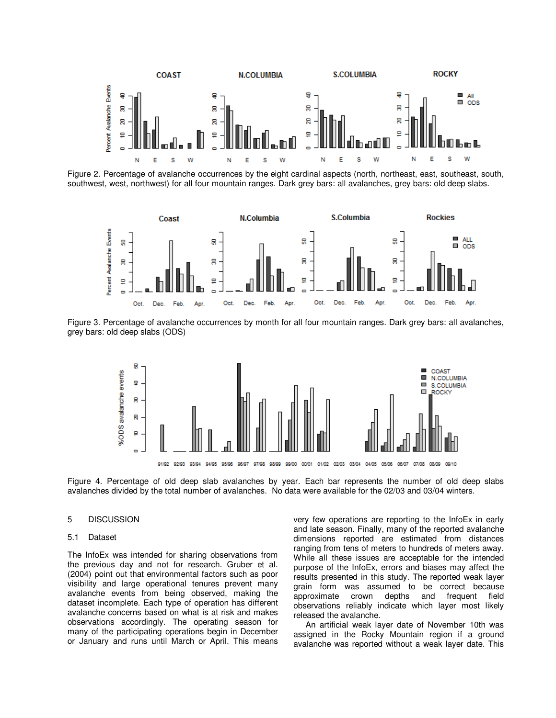

Figure 2. Percentage of avalanche occurrences by the eight cardinal aspects (north, northeast, east, southeast, south, southwest, west, northwest) for all four mountain ranges. Dark grey bars: all avalanches, grey bars: old deep slabs.



Figure 3. Percentage of avalanche occurrences by month for all four mountain ranges. Dark grey bars: all avalanches, grey bars: old deep slabs (ODS)



Figure 4. Percentage of old deep slab avalanches by year. Each bar represents the number of old deep slabs avalanches divided by the total number of avalanches. No data were available for the 02/03 and 03/04 winters.

# 5 DISCUSSION

#### 5.1 Dataset

The InfoEx was intended for sharing observations from the previous day and not for research. Gruber et al. (2004) point out that environmental factors such as poor visibility and large operational tenures prevent many avalanche events from being observed, making the dataset incomplete. Each type of operation has different avalanche concerns based on what is at risk and makes observations accordingly. The operating season for many of the participating operations begin in December or January and runs until March or April. This means

very few operations are reporting to the InfoEx in early and late season. Finally, many of the reported avalanche dimensions reported are estimated from distances ranging from tens of meters to hundreds of meters away. While all these issues are acceptable for the intended purpose of the InfoEx, errors and biases may affect the results presented in this study. The reported weak layer grain form was assumed to be correct because approximate crown depths and frequent field observations reliably indicate which layer most likely released the avalanche.

An artificial weak layer date of November 10th was assigned in the Rocky Mountain region if a ground avalanche was reported without a weak layer date. This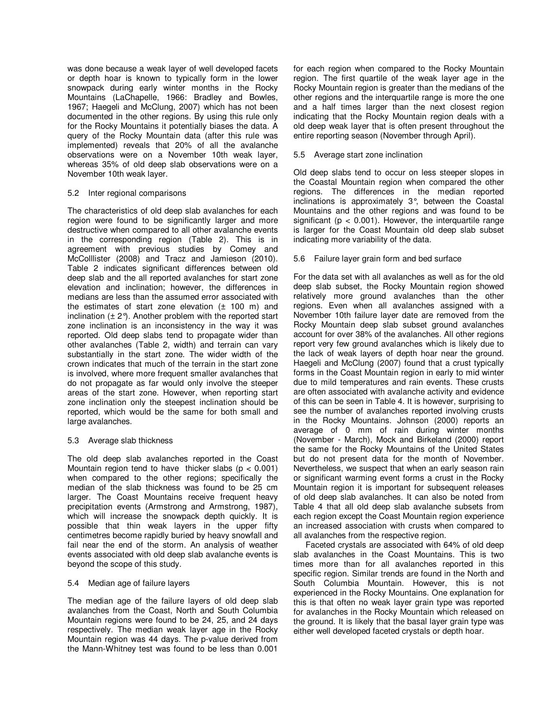was done because a weak layer of well developed facets or depth hoar is known to typically form in the lower snowpack during early winter months in the Rocky Mountains (LaChapelle, 1966: Bradley and Bowles, 1967; Haegeli and McClung, 2007) which has not been documented in the other regions. By using this rule only for the Rocky Mountains it potentially biases the data. A query of the Rocky Mountain data (after this rule was implemented) reveals that 20% of all the avalanche observations were on a November 10th weak layer, whereas 35% of old deep slab observations were on a November 10th weak layer.

#### 5.2 Inter regional comparisons

The characteristics of old deep slab avalanches for each region were found to be significantly larger and more destructive when compared to all other avalanche events in the corresponding region (Table 2). This is in agreement with previous studies by Comey and McColllister (2008) and Tracz and Jamieson (2010). Table 2 indicates significant differences between old deep slab and the all reported avalanches for start zone elevation and inclination; however, the differences in medians are less than the assumed error associated with the estimates of start zone elevation  $(t + 100$  m) and inclination  $(\pm 2^{\circ})$ . Another problem with the reported start zone inclination is an inconsistency in the way it was reported. Old deep slabs tend to propagate wider than other avalanches (Table 2, width) and terrain can vary substantially in the start zone. The wider width of the crown indicates that much of the terrain in the start zone is involved, where more frequent smaller avalanches that do not propagate as far would only involve the steeper areas of the start zone. However, when reporting start zone inclination only the steepest inclination should be reported, which would be the same for both small and large avalanches.

#### 5.3 Average slab thickness

The old deep slab avalanches reported in the Coast Mountain region tend to have thicker slabs  $(p < 0.001)$ when compared to the other regions; specifically the median of the slab thickness was found to be 25 cm larger. The Coast Mountains receive frequent heavy precipitation events (Armstrong and Armstrong, 1987), which will increase the snowpack depth quickly. It is possible that thin weak layers in the upper fifty centimetres become rapidly buried by heavy snowfall and fail near the end of the storm. An analysis of weather events associated with old deep slab avalanche events is beyond the scope of this study.

#### 5.4 Median age of failure layers

The median age of the failure layers of old deep slab avalanches from the Coast, North and South Columbia Mountain regions were found to be 24, 25, and 24 days respectively. The median weak layer age in the Rocky Mountain region was 44 days. The p-value derived from the Mann-Whitney test was found to be less than 0.001

for each region when compared to the Rocky Mountain region. The first quartile of the weak layer age in the Rocky Mountain region is greater than the medians of the other regions and the interquartile range is more the one and a half times larger than the next closest region indicating that the Rocky Mountain region deals with a old deep weak layer that is often present throughout the entire reporting season (November through April).

#### 5.5 Average start zone inclination

Old deep slabs tend to occur on less steeper slopes in the Coastal Mountain region when compared the other regions. The differences in the median reported inclinations is approximately 3°, between the Coastal Mountains and the other regions and was found to be significant ( $p < 0.001$ ). However, the interquartile range is larger for the Coast Mountain old deep slab subset indicating more variability of the data.

#### 5.6 Failure layer grain form and bed surface

For the data set with all avalanches as well as for the old deep slab subset, the Rocky Mountain region showed relatively more ground avalanches than the other regions. Even when all avalanches assigned with a November 10th failure layer date are removed from the Rocky Mountain deep slab subset ground avalanches account for over 38% of the avalanches. All other regions report very few ground avalanches which is likely due to the lack of weak layers of depth hoar near the ground. Haegeli and McClung (2007) found that a crust typically forms in the Coast Mountain region in early to mid winter due to mild temperatures and rain events. These crusts are often associated with avalanche activity and evidence of this can be seen in Table 4. It is however, surprising to see the number of avalanches reported involving crusts in the Rocky Mountains. Johnson (2000) reports an average of 0 mm of rain during winter months (November - March), Mock and Birkeland (2000) report the same for the Rocky Mountains of the United States but do not present data for the month of November. Nevertheless, we suspect that when an early season rain or significant warming event forms a crust in the Rocky Mountain region it is important for subsequent releases of old deep slab avalanches. It can also be noted from Table 4 that all old deep slab avalanche subsets from each region except the Coast Mountain region experience an increased association with crusts when compared to all avalanches from the respective region.

Faceted crystals are associated with 64% of old deep slab avalanches in the Coast Mountains. This is two times more than for all avalanches reported in this specific region. Similar trends are found in the North and South Columbia Mountain. However, this is not experienced in the Rocky Mountains. One explanation for this is that often no weak layer grain type was reported for avalanches in the Rocky Mountain which released on the ground. It is likely that the basal layer grain type was either well developed faceted crystals or depth hoar.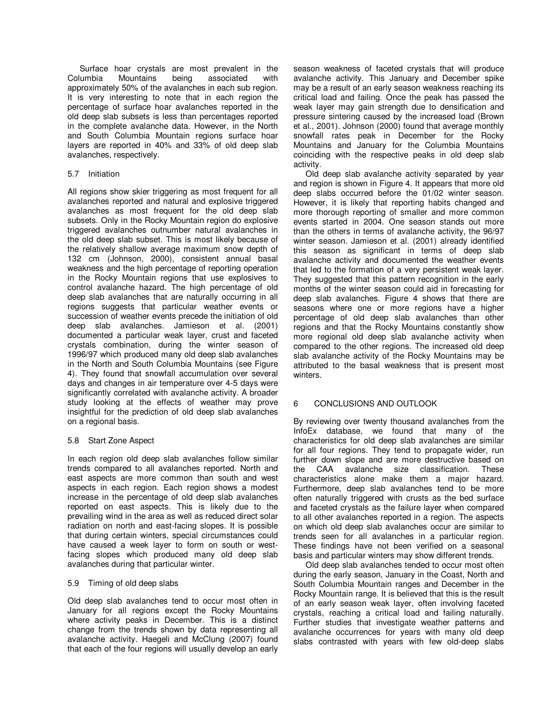Surface hoar crystals are most prevalent in the Columbia Mountains being associated with approximately 50% of the avalanches in each sub region. It is very interesting to note that in each region the percentage of surface hoar avalanches reported in the old deep slab subsets is less than percentages reported in the complete avalanche data. However, in the North and South Columbia Mountain regions surface hoar layers are reported in 40% and 33% of old deep slab avalanches, respectively.

#### 5.7 Initiation

All regions show skier triggering as most frequent for all avalanches reported and natural and explosive triggered avalanches as most frequent for the old deep slab subsets. Only in the Rocky Mountain region do explosive triggered avalanches outnumber natural avalanches in the old deep slab subset. This is most likely because of the relatively shallow average maximum snow depth of 132 cm (Johnson, 2000), consistent annual basal weakness and the high percentage of reporting operation in the Rocky Mountain regions that use explosives to control avalanche hazard. The high percentage of old deep slab avalanches that are naturally occurring in all regions suggests that particular weather events or succession of weather events precede the initiation of old deep slab avalanches. Jamieson et al. (2001) documented a particular weak layer, crust and faceted crystals combination, during the winter season of 1996/97 which produced many old deep slab avalanches in the North and South Columbia Mountains (see Figure 4). They found that snowfall accumulation over several days and changes in air temperature over 4-5 days were significantly correlated with avalanche activity. A broader study looking at the effects of weather may prove insightful for the prediction of old deep slab avalanches on a regional basis.

#### 5.8 Start Zone Aspect

In each region old deep slab avalanches follow similar trends compared to all avalanches reported. North and east aspects are more common than south and west aspects in each region. Each region shows a modest increase in the percentage of old deep slab avalanches reported on east aspects. This is likely due to the prevailing wind in the area as well as reduced direct solar radiation on north and east-facing slopes. It is possible that during certain winters, special circumstances could have caused a week layer to form on south or westfacing slopes which produced many old deep slab avalanches during that particular winter.

#### 5.9 Timing of old deep slabs

Old deep slab avalanches tend to occur most often in January for all regions except the Rocky Mountains where activity peaks in December. This is a distinct change from the trends shown by data representing all avalanche activity. Haegeli and McClung (2007) found that each of the four regions will usually develop an early

season weakness of faceted crystals that will produce avalanche activity. This January and December spike may be a result of an early season weakness reaching its critical load and failing. Once the peak has passed the weak layer may gain strength due to densification and pressure sintering caused by the increased load (Brown et al., 2001). Johnson (2000) found that average monthly snowfall rates peak in December for the Rocky Mountains and January for the Columbia Mountains coinciding with the respective peaks in old deep slab activity.

Old deep slab avalanche activity separated by year and region is shown in Figure 4. It appears that more old deep slabs occurred before the 01/02 winter season. However, it is likely that reporting habits changed and more thorough reporting of smaller and more common events started in 2004. One season stands out more than the others in terms of avalanche activity, the 96/97 winter season. Jamieson et al. (2001) already identified this season as significant in terms of deep slab avalanche activity and documented the weather events that led to the formation of a very persistent weak layer. They suggested that this pattern recognition in the early months of the winter season could aid in forecasting for deep slab avalanches. Figure 4 shows that there are seasons where one or more regions have a higher percentage of old deep slab avalanches than other regions and that the Rocky Mountains constantly show more regional old deep slab avalanche activity when compared to the other regions. The increased old deep slab avalanche activity of the Rocky Mountains may be attributed to the basal weakness that is present most winters.

#### 6 CONCLUSIONS AND OUTLOOK

By reviewing over twenty thousand avalanches from the InfoEx database, we found that many of the characteristics for old deep slab avalanches are similar for all four regions. They tend to propagate wider, run further down slope and are more destructive based on the CAA avalanche size classification. These characteristics alone make them a major hazard. Furthermore, deep slab avalanches tend to be more often naturally triggered with crusts as the bed surface and faceted crystals as the failure layer when compared to all other avalanches reported in a region. The aspects on which old deep slab avalanches occur are similar to trends seen for all avalanches in a particular region. These findings have not been verified on a seasonal basis and particular winters may show different trends.

Old deep slab avalanches tended to occur most often during the early season, January in the Coast, North and South Columbia Mountain ranges and December in the Rocky Mountain range. It is believed that this is the result of an early season weak layer, often involving faceted crystals, reaching a critical load and failing naturally. Further studies that investigate weather patterns and avalanche occurrences for years with many old deep slabs contrasted with years with few old-deep slabs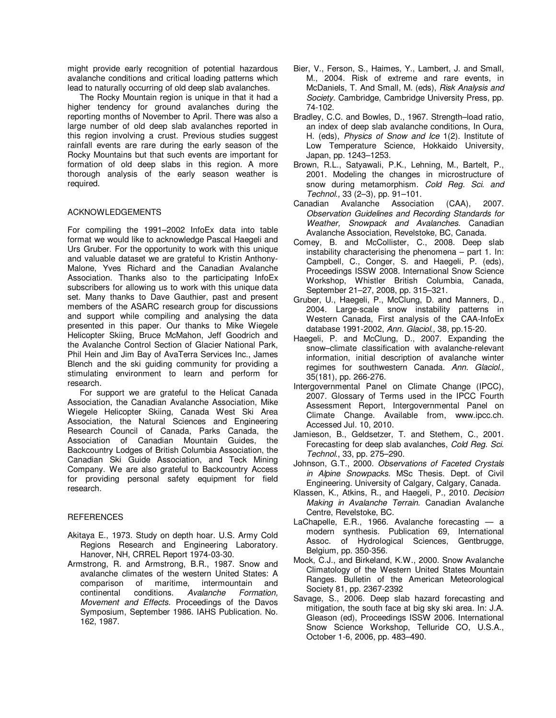might provide early recognition of potential hazardous avalanche conditions and critical loading patterns which lead to naturally occurring of old deep slab avalanches.

The Rocky Mountain region is unique in that it had a higher tendency for ground avalanches during the reporting months of November to April. There was also a large number of old deep slab avalanches reported in this region involving a crust. Previous studies suggest rainfall events are rare during the early season of the Rocky Mountains but that such events are important for formation of old deep slabs in this region. A more thorough analysis of the early season weather is required.

# ACKNOWLEDGEMENTS

For compiling the 1991–2002 InfoEx data into table format we would like to acknowledge Pascal Haegeli and Urs Gruber. For the opportunity to work with this unique and valuable dataset we are grateful to Kristin Anthony-Malone, Yves Richard and the Canadian Avalanche Association. Thanks also to the participating InfoEx subscribers for allowing us to work with this unique data set. Many thanks to Dave Gauthier, past and present members of the ASARC research group for discussions and support while compiling and analysing the data presented in this paper. Our thanks to Mike Wiegele Helicopter Skiing, Bruce McMahon, Jeff Goodrich and the Avalanche Control Section of Glacier National Park, Phil Hein and Jim Bay of AvaTerra Services Inc., James Blench and the ski guiding community for providing a stimulating environment to learn and perform for research.

For support we are grateful to the Helicat Canada Association, the Canadian Avalanche Association, Mike Wiegele Helicopter Skiing, Canada West Ski Area Association, the Natural Sciences and Engineering Research Council of Canada, Parks Canada, the Association of Canadian Mountain Guides, the Backcountry Lodges of British Columbia Association, the Canadian Ski Guide Association, and Teck Mining Company. We are also grateful to Backcountry Access for providing personal safety equipment for field research.

#### **REFERENCES**

- Akitaya E., 1973. Study on depth hoar. U.S. Army Cold Regions Research and Engineering Laboratory. Hanover, NH, CRREL Report 1974-03-30.
- Armstrong, R. and Armstrong, B.R., 1987. Snow and avalanche climates of the western United States: A comparison of maritime, intermountain and continental conditions. Avalanche Formation, Movement and Effects. Proceedings of the Davos Symposium, September 1986. IAHS Publication. No. 162, 1987.
- Bier, V., Ferson, S., Haimes, Y., Lambert, J. and Small, M., 2004. Risk of extreme and rare events, in McDaniels, T. And Small, M. (eds), Risk Analysis and Society. Cambridge, Cambridge University Press, pp. 74-102.
- Bradley, C.C. and Bowles, D., 1967. Strength–load ratio, an index of deep slab avalanche conditions, In Oura, H. (eds), Physics of Snow and Ice 1(2). Institute of Low Temperature Science, Hokkaido University, Japan, pp. 1243–1253.
- Brown, R.L., Satyawali, P.K., Lehning, M., Bartelt, P., 2001. Modeling the changes in microstructure of snow during metamorphism. Cold Reg. Sci. and Technol., 33 (2–3), pp. 91–101.
- Canadian Avalanche Association (CAA), 2007. Observation Guidelines and Recording Standards for Weather, Snowpack and Avalanches. Canadian Avalanche Association, Revelstoke, BC, Canada.
- Comey, B. and McCollister, C., 2008. Deep slab instability characterising the phenomena – part 1. In: Campbell, C., Conger, S. and Haegeli, P. (eds), Proceedings ISSW 2008. International Snow Science Workshop, Whistler British Columbia, Canada, September 21–27, 2008, pp. 315–321.
- Gruber, U., Haegeli, P., McClung, D. and Manners, D., 2004. Large-scale snow instability patterns in Western Canada, First analysis of the CAA-InfoEx database 1991-2002, Ann. Glaciol., 38, pp.15-20.
- Haegeli, P. and McClung, D., 2007. Expanding the snow–climate classification with avalanche-relevant information, initial description of avalanche winter regimes for southwestern Canada. Ann. Glaciol., 35(181), pp. 266-276.
- Intergovernmental Panel on Climate Change (IPCC), 2007. Glossary of Terms used in the IPCC Fourth Assessment Report, Intergovernmental Panel on Climate Change. Available from, www.ipcc.ch. Accessed Jul. 10, 2010.
- Jamieson, B., Geldsetzer, T. and Stethem, C., 2001. Forecasting for deep slab avalanches, Cold Reg. Sci. Technol., 33, pp. 275–290.
- Johnson, G.T., 2000. Observations of Faceted Crystals in Alpine Snowpacks. MSc Thesis. Dept. of Civil Engineering. University of Calgary, Calgary, Canada.
- Klassen, K., Atkins, R., and Haegeli, P., 2010. Decision Making in Avalanche Terrain. Canadian Avalanche Centre, Revelstoke, BC.
- LaChapelle, E.R., 1966. Avalanche forecasting a modern synthesis. Publication 69, International Assoc. of Hydrological Sciences, Gentbrugge, Belgium, pp. 350-356.
- Mock, C.J., and Birkeland, K.W., 2000. Snow Avalanche Climatology of the Western United States Mountain Ranges. Bulletin of the American Meteorological Society 81, pp. 2367-2392
- Savage, S., 2006. Deep slab hazard forecasting and mitigation, the south face at big sky ski area. In: J.A. Gleason (ed), Proceedings ISSW 2006. International Snow Science Workshop, Telluride CO, U.S.A., October 1-6, 2006, pp. 483–490.